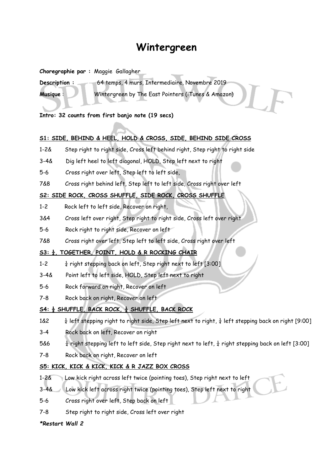# **Wintergreen**

**Choregraphie par :** Maggie Gallagher

**Description :** 64 temps, 4 murs, Intermediaire, Novembre 2019 **Musique** : Wintergreen by The East Pointers (iTunes & Amazon)

**Intro: 32 counts from first banjo note (19 secs)**

## **S1: SIDE, BEHIND & HEEL, HOLD & CROSS, SIDE, BEHIND SIDE CROSS**

- 1-2& Step right to right side, Cross left behind right, Step right to right side
- 3-4& Dig left heel to left diagonal, HOLD, Step left next to right
- 5-6 Cross right over left, Step left to left side,
- 7&8 Cross right behind left, Step left to left side, Cross right over left

#### **S2: SIDE ROCK, CROSS SHUFFLE, SIDE ROCK, CROSS SHUFFLE**

- 1-2 Rock left to left side, Recover on right,
- 3&4 Cross left over right, Step right to right side, Cross left over right
- 5-6 Rock right to right side, Recover on left
- 7&8 Cross right over left, Step left to left side, Cross right over left

## **S3: ¼, TOGETHER, POINT, HOLD & R ROCKING CHAIR**

- 1-2  $\frac{1}{4}$  right stepping back on left, Step right next to left [3:00]
- 3-4& Point left to left side, HOLD, Step left next to right
- 5-6 Rock forward on right, Recover on left
- 7-8 Rock back on right, Recover on left

## **S4: ½ SHUFFLE, BACK ROCK, ½ SHUFFLE, BACK ROCK**

1&2  $\frac{1}{4}$  left stepping right to right side, Step left next to right,  $\frac{1}{4}$  left stepping back on right [9:00]

- 3-4 Rock back on left, Recover on right
- 5&6  $\frac{1}{4}$  right stepping left to left side, Step right next to left,  $\frac{1}{4}$  right stepping back on left [3:00]
- 7-8 Rock back on right, Recover on left

## **S5: KICK, KICK & KICK, KICK & R JAZZ BOX CROSS**

- 1-2& Low kick right across left twice (pointing toes), Step right next to left
- 3-4& Low kick left across right twice (pointing toes), Step left next to right
- 5-6 Cross right over left, Step back on left
- 7-8 Step right to right side, Cross left over right

#### *\*Restart Wall 2*